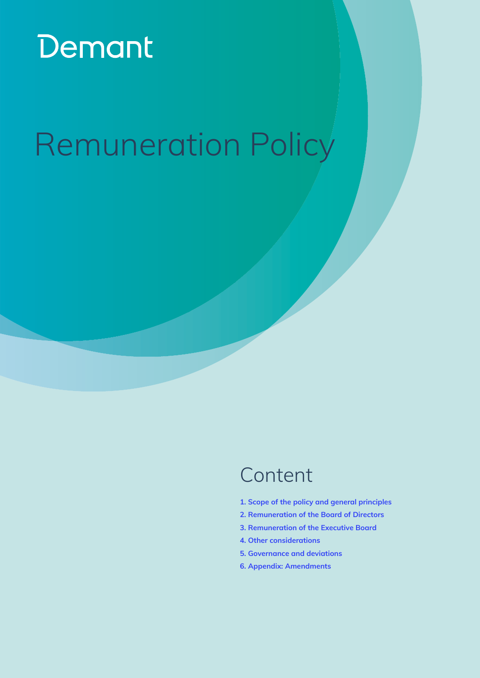# Demant

# Remuneration Policy

## [C](#page-1-0)ontent

- **[1. Scope of the policy and general principles](#page-1-0)**
- **[2. Remuneration of the Board of Directors](#page-2-0)**
- **[3. Remuneration of the Executive Board](#page-3-0)**
- **[4. Other considerations](#page-7-0)**
- **[5. Governance and deviations](#page-8-0)**
- **[6. Appendix: Amendments](#page-9-0)**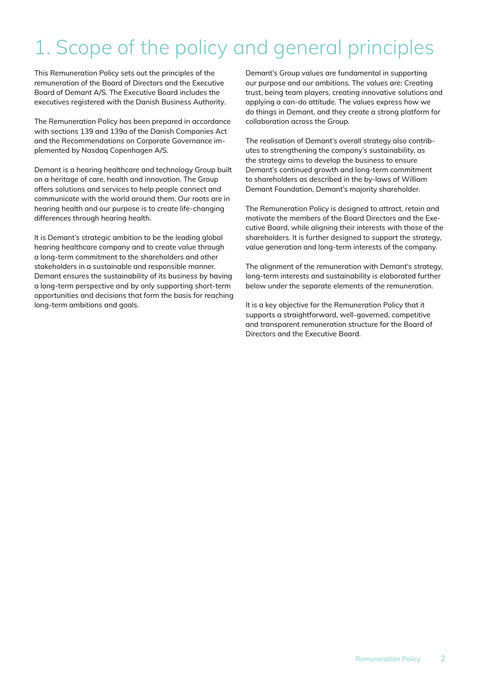## <span id="page-1-0"></span>1. Scope of the policy and general principles

This Remuneration Policy sets out the principles of the remuneration of the Board of Directors and the Executive Board of Demant A/S. The Executive Board includes the executives registered with the Danish Business Authority.

The Remuneration Policy has been prepared in accordance with sections 139 and 139a of the Danish Companies Act and the Recommendations on Corporate Governance implemented by Nasdaq Copenhagen A/S.

Demant is a hearing healthcare and technology Group built on a heritage of care, health and innovation. The Group offers solutions and services to help people connect and communicate with the world around them. Our roots are in hearing health and our purpose is to create life-changing differences through hearing health.

It is Demant's strategic ambition to be the leading global hearing healthcare company and to create value through a long-term commitment to the shareholders and other stakeholders in a sustainable and responsible manner. Demant ensures the sustainability of its business by having a long-term perspective and by only supporting short-term opportunities and decisions that form the basis for reaching long-term ambitions and goals.

Demant's Group values are fundamental in supporting our purpose and our ambitions. The values are: Creating trust, being team players, creating innovative solutions and applying a can-do attitude. The values express how we do things in Demant, and they create a strong platform for collaboration across the Group.

The realisation of Demant's overall strategy also contributes to strengthening the company's sustainability, as the strategy aims to develop the business to ensure Demant's continued growth and long-term commitment to shareholders as described in the by-laws of William Demant Foundation, Demant's majority shareholder.

The Remuneration Policy is designed to attract, retain and motivate the members of the Board Directors and the Executive Board, while aligning their interests with those of the shareholders. It is further designed to support the strategy, value generation and long-term interests of the company.

The alignment of the remuneration with Demant's strategy, long-term interests and sustainability is elaborated further below under the separate elements of the remuneration.

It is a key objective for the Remuneration Policy that it supports a straightforward, well-governed, competitive and transparent remuneration structure for the Board of Directors and the Executive Board.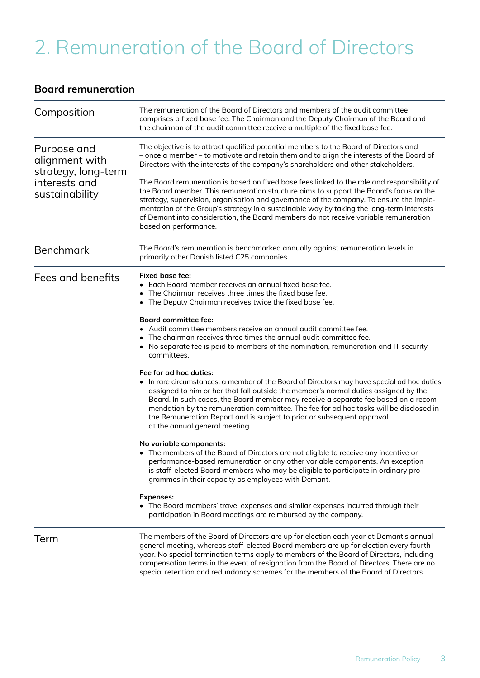## <span id="page-2-0"></span>2. Remuneration of the Board of Directors

### **Board remuneration**

| Composition                                                                             | The remuneration of the Board of Directors and members of the audit committee<br>comprises a fixed base fee. The Chairman and the Deputy Chairman of the Board and<br>the chairman of the audit committee receive a multiple of the fixed base fee.                                                                                                                                                                                                                                                    |  |  |
|-----------------------------------------------------------------------------------------|--------------------------------------------------------------------------------------------------------------------------------------------------------------------------------------------------------------------------------------------------------------------------------------------------------------------------------------------------------------------------------------------------------------------------------------------------------------------------------------------------------|--|--|
| Purpose and<br>alignment with<br>strategy, long-term<br>interests and<br>sustainability | The objective is to attract qualified potential members to the Board of Directors and<br>- once a member - to motivate and retain them and to align the interests of the Board of<br>Directors with the interests of the company's shareholders and other stakeholders.                                                                                                                                                                                                                                |  |  |
|                                                                                         | The Board remuneration is based on fixed base fees linked to the role and responsibility of<br>the Board member. This remuneration structure aims to support the Board's focus on the<br>strategy, supervision, organisation and governance of the company. To ensure the imple-<br>mentation of the Group's strategy in a sustainable way by taking the long-term interests<br>of Demant into consideration, the Board members do not receive variable remuneration<br>based on performance.          |  |  |
| <b>Benchmark</b>                                                                        | The Board's remuneration is benchmarked annually against remuneration levels in<br>primarily other Danish listed C25 companies.                                                                                                                                                                                                                                                                                                                                                                        |  |  |
| Fees and benefits                                                                       | Fixed base fee:<br>• Each Board member receives an annual fixed base fee.<br>The Chairman receives three times the fixed base fee.<br>The Deputy Chairman receives twice the fixed base fee.                                                                                                                                                                                                                                                                                                           |  |  |
|                                                                                         | <b>Board committee fee:</b><br>• Audit committee members receive an annual audit committee fee.<br>The chairman receives three times the annual audit committee fee.<br>• No separate fee is paid to members of the nomination, remuneration and IT security<br>committees.                                                                                                                                                                                                                            |  |  |
|                                                                                         | Fee for ad hoc duties:<br>In rare circumstances, a member of the Board of Directors may have special ad hoc duties<br>assigned to him or her that fall outside the member's normal duties assigned by the<br>Board. In such cases, the Board member may receive a separate fee based on a recom-<br>mendation by the remuneration committee. The fee for ad hoc tasks will be disclosed in<br>the Remuneration Report and is subject to prior or subsequent approval<br>at the annual general meeting. |  |  |
|                                                                                         | No variable components:<br>• The members of the Board of Directors are not eligible to receive any incentive or<br>performance-based remuneration or any other variable components. An exception<br>is staff-elected Board members who may be eligible to participate in ordinary pro-<br>grammes in their capacity as employees with Demant.                                                                                                                                                          |  |  |
|                                                                                         | <b>Expenses:</b><br>• The Board members' travel expenses and similar expenses incurred through their<br>participation in Board meetings are reimbursed by the company.                                                                                                                                                                                                                                                                                                                                 |  |  |
| Term                                                                                    | The members of the Board of Directors are up for election each year at Demant's annual<br>general meeting, whereas staff-elected Board members are up for election every fourth<br>year. No special termination terms apply to members of the Board of Directors, including<br>compensation terms in the event of resignation from the Board of Directors. There are no<br>special retention and redundancy schemes for the members of the Board of Directors.                                         |  |  |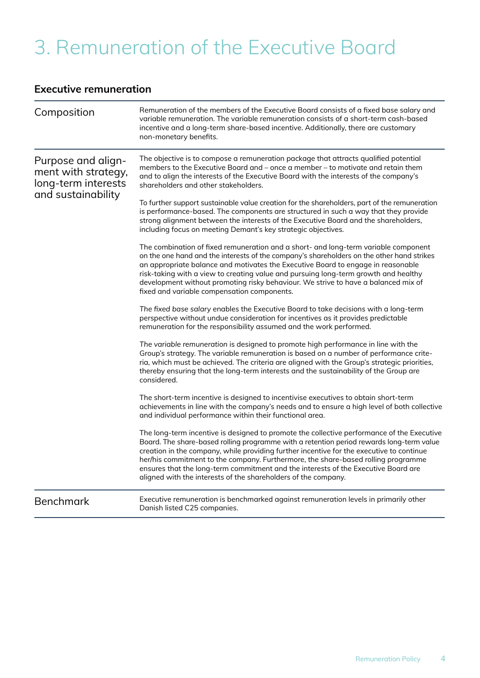## <span id="page-3-0"></span>3. Remuneration of the Executive Board

### **Executive remuneration**

| Composition                                                                            | Remuneration of the members of the Executive Board consists of a fixed base salary and<br>variable remuneration. The variable remuneration consists of a short-term cash-based<br>incentive and a long-term share-based incentive. Additionally, there are customary<br>non-monetary benefits.                                                                                                                                                                                                                                  |
|----------------------------------------------------------------------------------------|---------------------------------------------------------------------------------------------------------------------------------------------------------------------------------------------------------------------------------------------------------------------------------------------------------------------------------------------------------------------------------------------------------------------------------------------------------------------------------------------------------------------------------|
| Purpose and align-<br>ment with strategy,<br>long-term interests<br>and sustainability | The objective is to compose a remuneration package that attracts qualified potential<br>members to the Executive Board and – once a member – to motivate and retain them<br>and to align the interests of the Executive Board with the interests of the company's<br>shareholders and other stakeholders.                                                                                                                                                                                                                       |
|                                                                                        | To further support sustainable value creation for the shareholders, part of the remuneration<br>is performance-based. The components are structured in such a way that they provide<br>strong alignment between the interests of the Executive Board and the shareholders,<br>including focus on meeting Demant's key strategic objectives.                                                                                                                                                                                     |
|                                                                                        | The combination of fixed remuneration and a short- and long-term variable component<br>on the one hand and the interests of the company's shareholders on the other hand strikes<br>an appropriate balance and motivates the Executive Board to engage in reasonable<br>risk-taking with a view to creating value and pursuing long-term growth and healthy<br>development without promoting risky behaviour. We strive to have a balanced mix of<br>fixed and variable compensation components.                                |
|                                                                                        | The fixed base salary enables the Executive Board to take decisions with a long-term<br>perspective without undue consideration for incentives as it provides predictable<br>remuneration for the responsibility assumed and the work performed.                                                                                                                                                                                                                                                                                |
|                                                                                        | The variable remuneration is designed to promote high performance in line with the<br>Group's strategy. The variable remuneration is based on a number of performance crite-<br>ria, which must be achieved. The criteria are aligned with the Group's strategic priorities,<br>thereby ensuring that the long-term interests and the sustainability of the Group are<br>considered.                                                                                                                                            |
|                                                                                        | The short-term incentive is designed to incentivise executives to obtain short-term<br>achievements in line with the company's needs and to ensure a high level of both collective<br>and individual performance within their functional area.                                                                                                                                                                                                                                                                                  |
|                                                                                        | The long-term incentive is designed to promote the collective performance of the Executive<br>Board. The share-based rolling programme with a retention period rewards long-term value<br>creation in the company, while providing further incentive for the executive to continue<br>her/his commitment to the company. Furthermore, the share-based rolling programme<br>ensures that the long-term commitment and the interests of the Executive Board are<br>aligned with the interests of the shareholders of the company. |
| <b>Benchmark</b>                                                                       | Executive remuneration is benchmarked against remuneration levels in primarily other<br>Danish listed C25 companies.                                                                                                                                                                                                                                                                                                                                                                                                            |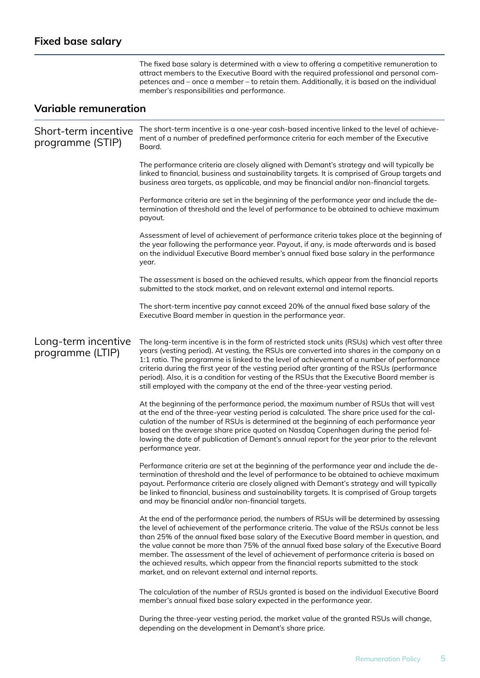The fixed base salary is determined with a view to offering a competitive remuneration to attract members to the Executive Board with the required professional and personal competences and – once a member – to retain them. Additionally, it is based on the individual member's responsibilities and performance.

### **Variable remuneration**

| Short-term incentive<br>programme (STIP) | The short-term incentive is a one-year cash-based incentive linked to the level of achieve-<br>ment of a number of predefined performance criteria for each member of the Executive<br>Board.                                                                                                                                                                                                                                                                                                                                                                                                                              |
|------------------------------------------|----------------------------------------------------------------------------------------------------------------------------------------------------------------------------------------------------------------------------------------------------------------------------------------------------------------------------------------------------------------------------------------------------------------------------------------------------------------------------------------------------------------------------------------------------------------------------------------------------------------------------|
|                                          | The performance criteria are closely aligned with Demant's strategy and will typically be<br>linked to financial, business and sustainability targets. It is comprised of Group targets and<br>business area targets, as applicable, and may be financial and/or non-financial targets.                                                                                                                                                                                                                                                                                                                                    |
|                                          | Performance criteria are set in the beginning of the performance year and include the de-<br>termination of threshold and the level of performance to be obtained to achieve maximum<br>payout.                                                                                                                                                                                                                                                                                                                                                                                                                            |
|                                          | Assessment of level of achievement of performance criteria takes place at the beginning of<br>the year following the performance year. Payout, if any, is made afterwards and is based<br>on the individual Executive Board member's annual fixed base salary in the performance<br>year.                                                                                                                                                                                                                                                                                                                                  |
|                                          | The assessment is based on the achieved results, which appear from the financial reports<br>submitted to the stock market, and on relevant external and internal reports.                                                                                                                                                                                                                                                                                                                                                                                                                                                  |
|                                          | The short-term incentive pay cannot exceed 20% of the annual fixed base salary of the<br>Executive Board member in question in the performance year.                                                                                                                                                                                                                                                                                                                                                                                                                                                                       |
| Long-term incentive<br>programme (LTIP)  | The long-term incentive is in the form of restricted stock units (RSUs) which vest after three<br>years (vesting period). At vesting, the RSUs are converted into shares in the company on a<br>1:1 ratio. The programme is linked to the level of achievement of a number of performance<br>criteria during the first year of the vesting period after granting of the RSUs (performance<br>period). Also, it is a condition for vesting of the RSUs that the Executive Board member is<br>still employed with the company at the end of the three-year vesting period.                                                   |
|                                          | At the beginning of the performance period, the maximum number of RSUs that will vest<br>at the end of the three-year vesting period is calculated. The share price used for the cal-<br>culation of the number of RSUs is determined at the beginning of each performance year<br>based on the average share price quoted on Nasdaq Copenhagen during the period fol-<br>lowing the date of publication of Demant's annual report for the year prior to the relevant<br>performance year.                                                                                                                                 |
|                                          | Performance criteria are set at the beginning of the performance year and include the de-<br>termination of threshold and the level of performance to be obtained to achieve maximum<br>payout. Performance criteria are closely aligned with Demant's strategy and will typically<br>be linked to financial, business and sustainability targets. It is comprised of Group targets<br>and may be financial and/or non-financial targets.                                                                                                                                                                                  |
|                                          | At the end of the performance period, the numbers of RSUs will be determined by assessing<br>the level of achievement of the performance criteria. The value of the RSUs cannot be less<br>than 25% of the annual fixed base salary of the Executive Board member in question, and<br>the value cannot be more than 75% of the annual fixed base salary of the Executive Board<br>member. The assessment of the level of achievement of performance criteria is based on<br>the achieved results, which appear from the financial reports submitted to the stock<br>market, and on relevant external and internal reports. |
|                                          | The calculation of the number of RSUs granted is based on the individual Executive Board<br>member's annual fixed base salary expected in the performance year.                                                                                                                                                                                                                                                                                                                                                                                                                                                            |
|                                          | During the three-year vesting period, the market value of the granted RSUs will change,<br>depending on the development in Demant's share price.                                                                                                                                                                                                                                                                                                                                                                                                                                                                           |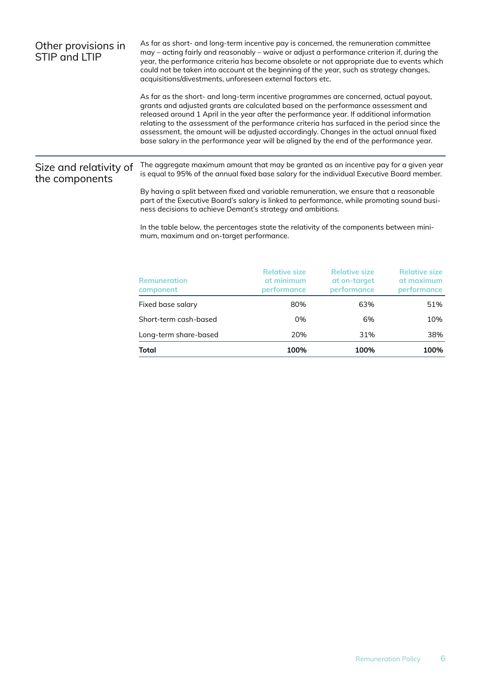| Other provisions in<br>STIP and LTIP     | As far as short- and long-term incentive pay is concerned, the remuneration committee<br>may – acting fairly and reasonably – waive or adjust a performance criterion if, during the<br>year, the performance criteria has become obsolete or not appropriate due to events which<br>could not be taken into account at the beginning of the year, such as strategy changes,<br>acquisitions/divestments, unforeseen external factors etc.<br>As far as the short- and long-term incentive programmes are concerned, actual payout,<br>grants and adjusted grants are calculated based on the performance assessment and<br>released around 1 April in the year after the performance year. If additional information<br>relating to the assessment of the performance criteria has surfaced in the period since the<br>assessment, the amount will be adjusted accordingly. Changes in the actual annual fixed<br>base salary in the performance year will be aligned by the end of the performance year. |                                                          |                                                            |                                                          |
|------------------------------------------|------------------------------------------------------------------------------------------------------------------------------------------------------------------------------------------------------------------------------------------------------------------------------------------------------------------------------------------------------------------------------------------------------------------------------------------------------------------------------------------------------------------------------------------------------------------------------------------------------------------------------------------------------------------------------------------------------------------------------------------------------------------------------------------------------------------------------------------------------------------------------------------------------------------------------------------------------------------------------------------------------------|----------------------------------------------------------|------------------------------------------------------------|----------------------------------------------------------|
| Size and relativity of<br>the components | The aggregate maximum amount that may be granted as an incentive pay for a given year<br>is equal to 95% of the annual fixed base salary for the individual Executive Board member.<br>By having a split between fixed and variable remuneration, we ensure that a reasonable<br>part of the Executive Board's salary is linked to performance, while promoting sound busi-<br>ness decisions to achieve Demant's strategy and ambitions.<br>In the table below, the percentages state the relativity of the components between mini-<br>mum, maximum and on-target performance.                                                                                                                                                                                                                                                                                                                                                                                                                           |                                                          |                                                            |                                                          |
|                                          | <b>Remuneration</b><br>component<br>Fixed base salary                                                                                                                                                                                                                                                                                                                                                                                                                                                                                                                                                                                                                                                                                                                                                                                                                                                                                                                                                      | <b>Relative size</b><br>at minimum<br>performance<br>80% | <b>Relative size</b><br>at on-target<br>performance<br>63% | <b>Relative size</b><br>at maximum<br>performance<br>51% |
|                                          | Short-term cash-based                                                                                                                                                                                                                                                                                                                                                                                                                                                                                                                                                                                                                                                                                                                                                                                                                                                                                                                                                                                      | 0%                                                       | 6%                                                         | 10%                                                      |

Long-term share-based 20% 31% 31% 38% **Total 100% 100% 100%**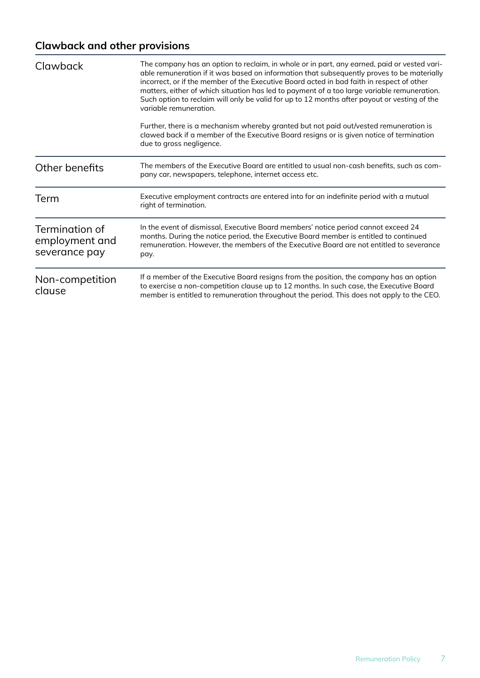### **Clawback and other provisions**

| Clawback                                          | The company has an option to reclaim, in whole or in part, any earned, paid or vested vari-<br>able remuneration if it was based on information that subsequently proves to be materially<br>incorrect, or if the member of the Executive Board acted in bad faith in respect of other<br>matters, either of which situation has led to payment of a too large variable remuneration.<br>Such option to reclaim will only be valid for up to 12 months after payout or vesting of the<br>variable remuneration.<br>Further, there is a mechanism whereby granted but not paid out/vested remuneration is<br>clawed back if a member of the Executive Board resigns or is given notice of termination<br>due to gross negligence. |  |
|---------------------------------------------------|----------------------------------------------------------------------------------------------------------------------------------------------------------------------------------------------------------------------------------------------------------------------------------------------------------------------------------------------------------------------------------------------------------------------------------------------------------------------------------------------------------------------------------------------------------------------------------------------------------------------------------------------------------------------------------------------------------------------------------|--|
| Other benefits                                    | The members of the Executive Board are entitled to usual non-cash benefits, such as com-<br>pany car, newspapers, telephone, internet access etc.                                                                                                                                                                                                                                                                                                                                                                                                                                                                                                                                                                                |  |
| Term                                              | Executive employment contracts are entered into for an indefinite period with a mutual<br>right of termination.                                                                                                                                                                                                                                                                                                                                                                                                                                                                                                                                                                                                                  |  |
| Termination of<br>employment and<br>severance pay | In the event of dismissal, Executive Board members' notice period cannot exceed 24<br>months. During the notice period, the Executive Board member is entitled to continued<br>remuneration. However, the members of the Executive Board are not entitled to severance<br>pay.                                                                                                                                                                                                                                                                                                                                                                                                                                                   |  |
| Non-competition<br>clause                         | If a member of the Executive Board resigns from the position, the company has an option<br>to exercise a non-competition clause up to 12 months. In such case, the Executive Board<br>member is entitled to remuneration throughout the period. This does not apply to the CEO.                                                                                                                                                                                                                                                                                                                                                                                                                                                  |  |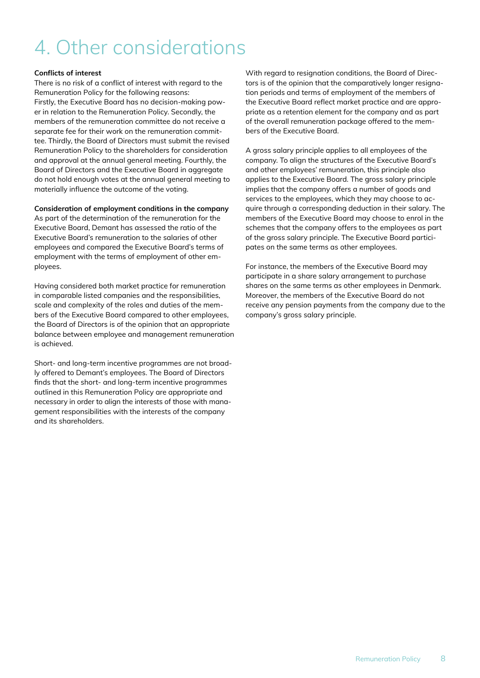## <span id="page-7-0"></span>4. Other considerations

#### **Conflicts of interest**

There is no risk of a conflict of interest with regard to the Remuneration Policy for the following reasons: Firstly, the Executive Board has no decision-making power in relation to the Remuneration Policy. Secondly, the members of the remuneration committee do not receive a separate fee for their work on the remuneration committee. Thirdly, the Board of Directors must submit the revised Remuneration Policy to the shareholders for consideration and approval at the annual general meeting. Fourthly, the Board of Directors and the Executive Board in aggregate do not hold enough votes at the annual general meeting to materially influence the outcome of the voting.

### **Consideration of employment conditions in the company**

As part of the determination of the remuneration for the Executive Board, Demant has assessed the ratio of the Executive Board's remuneration to the salaries of other employees and compared the Executive Board's terms of employment with the terms of employment of other employees.

Having considered both market practice for remuneration in comparable listed companies and the responsibilities, scale and complexity of the roles and duties of the members of the Executive Board compared to other employees, the Board of Directors is of the opinion that an appropriate balance between employee and management remuneration is achieved.

Short- and long-term incentive programmes are not broadly offered to Demant's employees. The Board of Directors finds that the short- and long-term incentive programmes outlined in this Remuneration Policy are appropriate and necessary in order to align the interests of those with management responsibilities with the interests of the company and its shareholders.

With regard to resignation conditions, the Board of Directors is of the opinion that the comparatively longer resignation periods and terms of employment of the members of the Executive Board reflect market practice and are appropriate as a retention element for the company and as part of the overall remuneration package offered to the members of the Executive Board.

A gross salary principle applies to all employees of the company. To align the structures of the Executive Board's and other employees' remuneration, this principle also applies to the Executive Board. The gross salary principle implies that the company offers a number of goods and services to the employees, which they may choose to acquire through a corresponding deduction in their salary. The members of the Executive Board may choose to enrol in the schemes that the company offers to the employees as part of the gross salary principle. The Executive Board participates on the same terms as other employees.

For instance, the members of the Executive Board may participate in a share salary arrangement to purchase shares on the same terms as other employees in Denmark. Moreover, the members of the Executive Board do not receive any pension payments from the company due to the company's gross salary principle.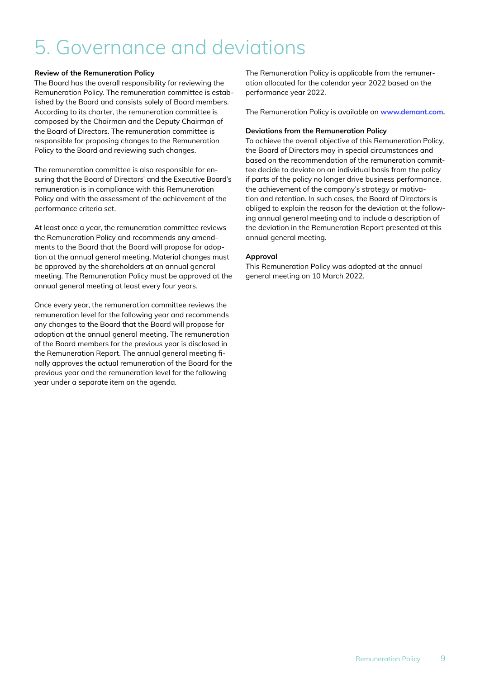## <span id="page-8-0"></span>5. Governance and deviations

### **Review of the Remuneration Policy**

The Board has the overall responsibility for reviewing the Remuneration Policy. The remuneration committee is established by the Board and consists solely of Board members. According to its charter, the remuneration committee is composed by the Chairman and the Deputy Chairman of the Board of Directors. The remuneration committee is responsible for proposing changes to the Remuneration Policy to the Board and reviewing such changes.

The remuneration committee is also responsible for ensuring that the Board of Directors' and the Executive Board's remuneration is in compliance with this Remuneration Policy and with the assessment of the achievement of the performance criteria set.

At least once a year, the remuneration committee reviews the Remuneration Policy and recommends any amendments to the Board that the Board will propose for adoption at the annual general meeting. Material changes must be approved by the shareholders at an annual general meeting. The Remuneration Policy must be approved at the annual general meeting at least every four years.

Once every year, the remuneration committee reviews the remuneration level for the following year and recommends any changes to the Board that the Board will propose for adoption at the annual general meeting. The remuneration of the Board members for the previous year is disclosed in the Remuneration Report. The annual general meeting finally approves the actual remuneration of the Board for the previous year and the remuneration level for the following year under a separate item on the agenda.

The Remuneration Policy is applicable from the remuneration allocated for the calendar year 2022 based on the performance year 2022.

The Remuneration Policy is available on **[www.demant.com.](https://www.demant.com/media?filters=[%227bab2ffdca59415daddb9d20234152bf%22]&link=%22%22)**

### **Deviations from the Remuneration Policy**

To achieve the overall objective of this Remuneration Policy, the Board of Directors may in special circumstances and based on the recommendation of the remuneration committee decide to deviate on an individual basis from the policy if parts of the policy no longer drive business performance, the achievement of the company's strategy or motivation and retention. In such cases, the Board of Directors is obliged to explain the reason for the deviation at the following annual general meeting and to include a description of the deviation in the Remuneration Report presented at this annual general meeting.

### **Approval**

This Remuneration Policy was adopted at the annual general meeting on 10 March 2022.